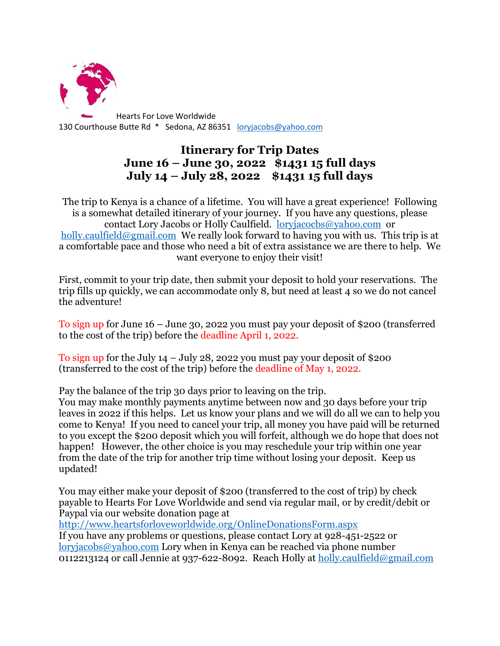

## **Itinerary for Trip Dates June 16 – June 30, 2022 \$1431 15 full days July 14 – July 28, 2022 \$1431 15 full days**

The trip to Kenya is a chance of a lifetime. You will have a great experience! Following is a somewhat detailed itinerary of your journey. If you have any questions, please contact Lory Jacobs or Holly Caulfield. [loryjacocbs@yahoo.com](mailto:loryjacocbs@yahoo.com) or [holly.caulfield@gmail.com](mailto:holly.caulfield@gmail.com) We really look forward to having you with us. This trip is at a comfortable pace and those who need a bit of extra assistance we are there to help. We want everyone to enjoy their visit!

First, commit to your trip date, then submit your deposit to hold your reservations. The trip fills up quickly, we can accommodate only 8, but need at least 4 so we do not cancel the adventure!

To sign up for June 16 – June 30, 2022 you must pay your deposit of \$200 (transferred to the cost of the trip) before the deadline April 1, 2022.

To sign up for the July  $14 -$  July 28, 2022 you must pay your deposit of \$200 (transferred to the cost of the trip) before the deadline of May 1, 2022.

Pay the balance of the trip 30 days prior to leaving on the trip.

You may make monthly payments anytime between now and 30 days before your trip leaves in 2022 if this helps. Let us know your plans and we will do all we can to help you come to Kenya! If you need to cancel your trip, all money you have paid will be returned to you except the \$200 deposit which you will forfeit, although we do hope that does not happen! However, the other choice is you may reschedule your trip within one year from the date of the trip for another trip time without losing your deposit. Keep us updated!

You may either make your deposit of \$200 (transferred to the cost of trip) by check payable to Hearts For Love Worldwide and send via regular mail, or by credit/debit or Paypal via our website donation page at

<http://www.heartsforloveworldwide.org/OnlineDonationsForm.aspx>

If you have any problems or questions, please contact Lory at 928-451-2522 or [loryjacobs@yahoo.com](mailto:loryjacobs@yahoo.com) Lory when in Kenya can be reached via phone number 0112213124 or call Jennie at 937-622-8092. Reach Holly at [holly.caulfield@gmail.com](mailto:holly.caulfield@gmail.com)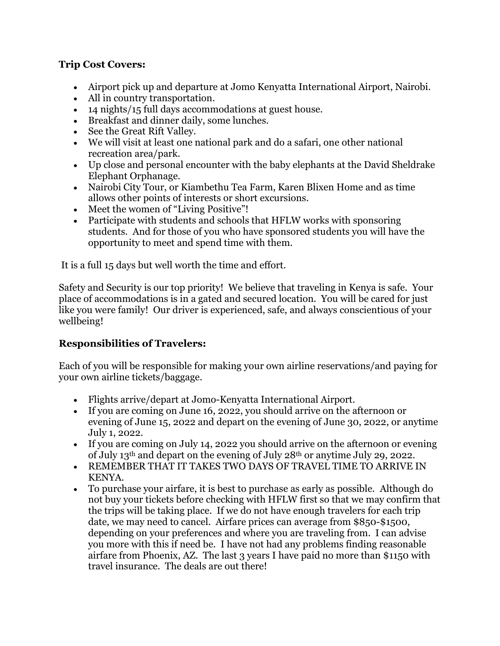## **Trip Cost Covers:**

- Airport pick up and departure at Jomo Kenyatta International Airport, Nairobi.
- All in country transportation.
- 14 nights/15 full days accommodations at guest house.
- Breakfast and dinner daily, some lunches.
- See the Great Rift Valley.
- We will visit at least one national park and do a safari, one other national recreation area/park.
- Up close and personal encounter with the baby elephants at the David Sheldrake Elephant Orphanage.
- Nairobi City Tour, or Kiambethu Tea Farm, Karen Blixen Home and as time allows other points of interests or short excursions.
- Meet the women of "Living Positive"!
- Participate with students and schools that HFLW works with sponsoring students. And for those of you who have sponsored students you will have the opportunity to meet and spend time with them.

It is a full 15 days but well worth the time and effort.

Safety and Security is our top priority! We believe that traveling in Kenya is safe. Your place of accommodations is in a gated and secured location. You will be cared for just like you were family! Our driver is experienced, safe, and always conscientious of your wellbeing!

## **Responsibilities of Travelers:**

Each of you will be responsible for making your own airline reservations/and paying for your own airline tickets/baggage.

- Flights arrive/depart at Jomo-Kenyatta International Airport.
- If you are coming on June 16, 2022, you should arrive on the afternoon or evening of June 15, 2022 and depart on the evening of June 30, 2022, or anytime July 1, 2022.
- If you are coming on July 14, 2022 you should arrive on the afternoon or evening of July 13th and depart on the evening of July 28th or anytime July 29, 2022.
- REMEMBER THAT IT TAKES TWO DAYS OF TRAVEL TIME TO ARRIVE IN KENYA.
- To purchase your airfare, it is best to purchase as early as possible. Although do not buy your tickets before checking with HFLW first so that we may confirm that the trips will be taking place. If we do not have enough travelers for each trip date, we may need to cancel. Airfare prices can average from \$850-\$1500, depending on your preferences and where you are traveling from. I can advise you more with this if need be. I have not had any problems finding reasonable airfare from Phoenix, AZ. The last 3 years I have paid no more than \$1150 with travel insurance. The deals are out there!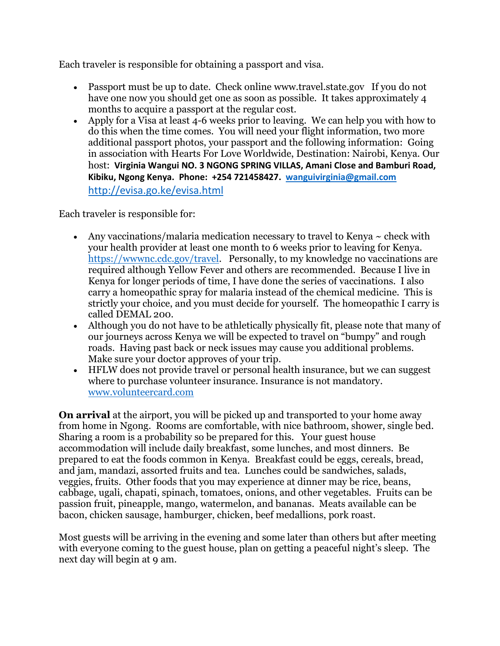Each traveler is responsible for obtaining a passport and visa.

- Passport must be up to date. Check online www.travel.state.gov If you do not have one now you should get one as soon as possible. It takes approximately 4 months to acquire a passport at the regular cost.
- Apply for a Visa at least 4-6 weeks prior to leaving. We can help you with how to do this when the time comes. You will need your flight information, two more additional passport photos, your passport and the following information: Going in association with Hearts For Love Worldwide, Destination: Nairobi, Kenya. Our host: **Virginia Wangui NO. 3 NGONG SPRING VILLAS, Amani Close and Bamburi Road, Kibiku, Ngong Kenya. Phone: +254 721458427. [wanguivirginia@gmail.com](mailto:wanguivirginia@gmail.com)** <http://evisa.go.ke/evisa.html>

Each traveler is responsible for:

- Any vaccinations/malaria medication necessary to travel to Kenya  $\sim$  check with your health provider at least one month to 6 weeks prior to leaving for Kenya. [https://wwwnc.cdc.gov/travel.](https://wwwnc.cdc.gov/travel) Personally, to my knowledge no vaccinations are required although Yellow Fever and others are recommended. Because I live in Kenya for longer periods of time, I have done the series of vaccinations. I also carry a homeopathic spray for malaria instead of the chemical medicine. This is strictly your choice, and you must decide for yourself. The homeopathic I carry is called DEMAL 200.
- Although you do not have to be athletically physically fit, please note that many of our journeys across Kenya we will be expected to travel on "bumpy" and rough roads. Having past back or neck issues may cause you additional problems. Make sure your doctor approves of your trip.
- HFLW does not provide travel or personal health insurance, but we can suggest where to purchase volunteer insurance. Insurance is not mandatory. [www.volunteercard.com](http://www.volunteercard.com/)

**On arrival** at the airport, you will be picked up and transported to your home away from home in Ngong. Rooms are comfortable, with nice bathroom, shower, single bed. Sharing a room is a probability so be prepared for this. Your guest house accommodation will include daily breakfast, some lunches, and most dinners. Be prepared to eat the foods common in Kenya. Breakfast could be eggs, cereals, bread, and jam, mandazi, assorted fruits and tea. Lunches could be sandwiches, salads, veggies, fruits. Other foods that you may experience at dinner may be rice, beans, cabbage, ugali, chapati, spinach, tomatoes, onions, and other vegetables. Fruits can be passion fruit, pineapple, mango, watermelon, and bananas. Meats available can be bacon, chicken sausage, hamburger, chicken, beef medallions, pork roast.

Most guests will be arriving in the evening and some later than others but after meeting with everyone coming to the guest house, plan on getting a peaceful night's sleep. The next day will begin at 9 am.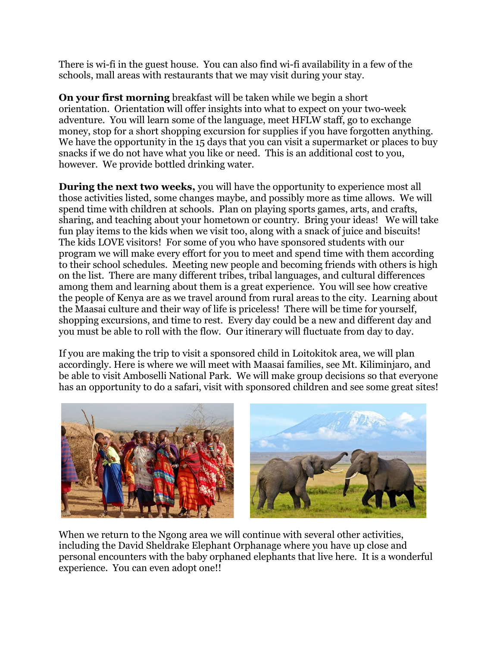There is wi-fi in the guest house. You can also find wi-fi availability in a few of the schools, mall areas with restaurants that we may visit during your stay.

**On your first morning** breakfast will be taken while we begin a short orientation. Orientation will offer insights into what to expect on your two-week adventure. You will learn some of the language, meet HFLW staff, go to exchange money, stop for a short shopping excursion for supplies if you have forgotten anything. We have the opportunity in the 15 days that you can visit a supermarket or places to buy snacks if we do not have what you like or need. This is an additional cost to you, however. We provide bottled drinking water.

**During the next two weeks,** you will have the opportunity to experience most all those activities listed, some changes maybe, and possibly more as time allows. We will spend time with children at schools. Plan on playing sports games, arts, and crafts, sharing, and teaching about your hometown or country. Bring your ideas! We will take fun play items to the kids when we visit too, along with a snack of juice and biscuits! The kids LOVE visitors! For some of you who have sponsored students with our program we will make every effort for you to meet and spend time with them according to their school schedules. Meeting new people and becoming friends with others is high on the list. There are many different tribes, tribal languages, and cultural differences among them and learning about them is a great experience. You will see how creative the people of Kenya are as we travel around from rural areas to the city. Learning about the Maasai culture and their way of life is priceless! There will be time for yourself, shopping excursions, and time to rest. Every day could be a new and different day and you must be able to roll with the flow. Our itinerary will fluctuate from day to day.

If you are making the trip to visit a sponsored child in Loitokitok area, we will plan accordingly. Here is where we will meet with Maasai families, see Mt. Kiliminjaro, and be able to visit Amboselli National Park. We will make group decisions so that everyone has an opportunity to do a safari, visit with sponsored children and see some great sites!



When we return to the Ngong area we will continue with several other activities, including the David Sheldrake Elephant Orphanage where you have up close and personal encounters with the baby orphaned elephants that live here. It is a wonderful experience. You can even adopt one!!